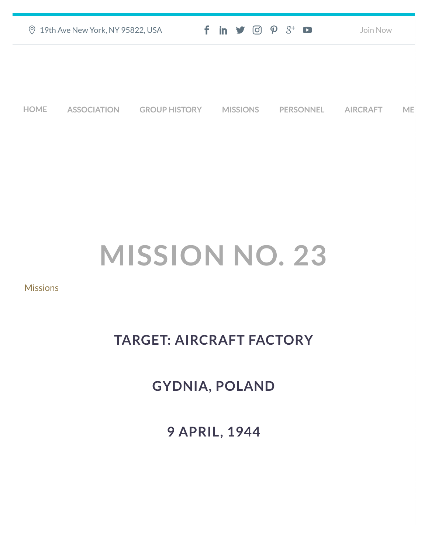|             | 2 19th Ave New York, NY 95822, USA |                      | $f$ in $\mathcal{I}$ $\odot$ $\mathcal{P}$ $\mathcal{S}^+$ $\bullet$ |                  | Join Now        |           |
|-------------|------------------------------------|----------------------|----------------------------------------------------------------------|------------------|-----------------|-----------|
|             |                                    |                      |                                                                      |                  |                 |           |
|             |                                    |                      |                                                                      |                  |                 |           |
| <b>HOME</b> | <b>ASSOCIATION</b>                 | <b>GROUP HISTORY</b> | <b>MISSIONS</b>                                                      | <b>PERSONNEL</b> | <b>AIRCRAFT</b> | <b>ME</b> |

## **MISSION NO. 23**

## **[Missions](https://457thbombgroupassoc.org/category/missions/)**

## **TARGET: AIRCRAFT FACTORY**

## **GYDNIA, POLAND**

**9 APRIL, 1944**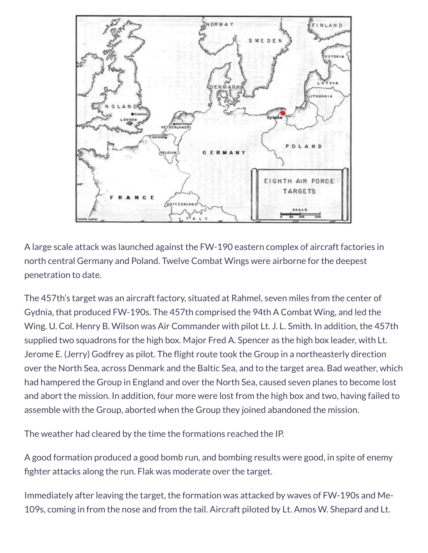

A large scale attack was launched against the FW-190 eastern complex of aircraft factories in north central Germany and Poland. Twelve Combat Wings were airborne for the deepest penetration to date.

The 457th's target was an aircraft factory, situated at Rahmel, seven miles from the center of Gydnia, that produced FW-190s. The 457th comprised the 94th A Combat Wing, and led the Wing. U. Col. Henry B. Wilson was Air Commander with pilot Lt. J. L. Smith. In addition, the 457th supplied two squadrons for the high box. Major Fred A. Spencer as the high box leader, with Lt. Jerome E. (Jerry) Godfrey as pilot. The flight route took the Group in a northeasterly direction over the North Sea, across Denmark and the Baltic Sea, and to the target area. Bad weather, which had hampered the Group in England and over the North Sea, caused seven planes to become lost and abort the mission. In addition, four more were lost from the high box and two, having failed to assemble with the Group, aborted when the Group they joined abandoned the mission.

The weather had cleared by the time the formations reached the IP.

A good formation produced a good bomb run, and bombing results were good, in spite of enemy fighter attacks along the run. Flak was moderate over the target.

Immediately after leaving the target, the formation was attacked by waves of FW-190s and Me-109s, coming in from the nose and from the tail. Aircraft piloted by Lt. Amos W. Shepard and Lt.